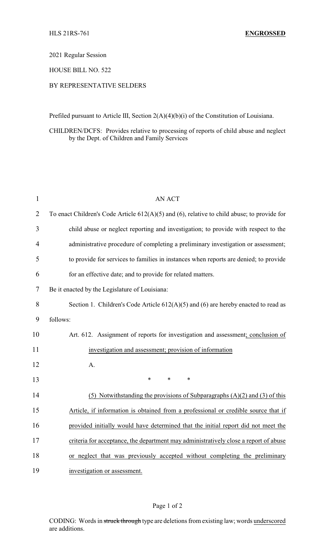#### 2021 Regular Session

## HOUSE BILL NO. 522

### BY REPRESENTATIVE SELDERS

Prefiled pursuant to Article III, Section 2(A)(4)(b)(i) of the Constitution of Louisiana.

#### CHILDREN/DCFS: Provides relative to processing of reports of child abuse and neglect by the Dept. of Children and Family Services

| $\mathbf{1}$   | <b>AN ACT</b>                                                                                    |
|----------------|--------------------------------------------------------------------------------------------------|
| $\overline{2}$ | To enact Children's Code Article $612(A)(5)$ and $(6)$ , relative to child abuse; to provide for |
| 3              | child abuse or neglect reporting and investigation; to provide with respect to the               |
| 4              | administrative procedure of completing a preliminary investigation or assessment;                |
| 5              | to provide for services to families in instances when reports are denied; to provide             |
| 6              | for an effective date; and to provide for related matters.                                       |
| 7              | Be it enacted by the Legislature of Louisiana:                                                   |
| 8              | Section 1. Children's Code Article $612(A)(5)$ and $(6)$ are hereby enacted to read as           |
| 9              | follows:                                                                                         |
| 10             | Art. 612. Assignment of reports for investigation and assessment; conclusion of                  |
| 11             | investigation and assessment; provision of information                                           |
| 12             | A.                                                                                               |
| 13             | $\ast$<br>$\ast$<br>*                                                                            |
| 14             | (5) Notwithstanding the provisions of Subparagraphs $(A)(2)$ and $(B)(3)$ of this                |
| 15             | Article, if information is obtained from a professional or credible source that if               |
| 16             | provided initially would have determined that the initial report did not meet the                |
| 17             | criteria for acceptance, the department may administratively close a report of abuse             |
| 18             | or neglect that was previously accepted without completing the preliminary                       |
| 19             | investigation or assessment.                                                                     |

#### Page 1 of 2

CODING: Words in struck through type are deletions from existing law; words underscored are additions.